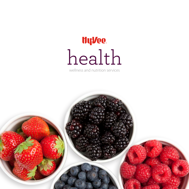# HyVee. health

wellness and nutrition services

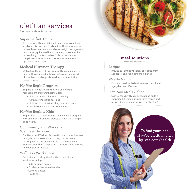## dietitian services

Prices vary for all dietitian services.

#### **Supermarket Tours**

Join your local Hy-Vee dietitian to learn how to read food labels and discover new food choices. The tour can focus on health concerns such as diabetes, weight management, heart health, quick meal ideas, diabetes, sports nutrition or stretching your food dollars. Call to schedule your complimentary tour or watch for announcements on upcoming group tours.

#### **Medical Nutrition Therapy**

With referral from a physician, your Hy-Vee dietitian will meet with you individually to develop a personalized plan with achievable goals to address your nutritionrelated concerns.

#### **Hy-Vee Begin Program**

Begin is a 10-week healthy lifestyle and weight management program that includes:

- 1 initial visit with biometric screening
- 7 group or individual sessions
- 1 follow-up session including measurements
- 1 final visit with biometric screening

#### **Hy-Vee Begin 4 Kids**

Begin 4 kids is a 4-week lifestyle management program with an emphasis on food groups, activity and eating for good health.

#### **Community and Worksite Wellness Services**

Our Health and Wellness Team will come to your business or organization to conduct cooking classes, teach the Begin program, provide health screenings, offer immunization clinics, or present a nutrition topic designed for your group's interests.

#### **Wellness Workshops**

Contact your local Hy-Vee dietitian for additional services including:

- Kids' nutrition events
- Food experiences in the aisles
- Cooking classes
- Health fairs

#### **meal solutions**

hy-vee.com/meal-solutions

#### **Recipes**

Browse our extensive library of recipes, from appetizers and veggies to main dishes!

#### **Weekly Menus**

Plan your week with delicious meal ideas for all ages, diets and lifestyles.

#### **Plan Your Meals Online**

Sign up for a My Hy-Vee account and build a shopping list using our suggested menus and recipes. Click print and you're ready to shop!

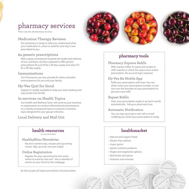## pharmacy services

Prices vary for all pharmacy services.

#### **Medication Therapy Reviews**

Our pharmacy is ready to help you understand what your medication is, what it's used for and why it was prescribed to you.

#### **\$4 generic prescriptions**

With a deep commitment towards the health and wellness of our customers, Hy-Vee is pleased to offer generic prescriptions for just \$4 for a 30-day supply and only \$10 for a 90-day supply.

#### **Immunizations**

Our Pharmacist can now provide flu shots and other immunizations for you and your family.

#### **Hy-Vee Quit for Good**

Support is readily available to help you stop smoking and stay smoke-free for life.

#### **In-services on Health Topics**

Our Health and Wellness Team will come to your business or organization to conduct informational presentations on a variety of prepared topics or present a nutrition topic designed for your group's interests.

#### **Local Delivery and Mail Out**

### **health resources**

hy-vee.com/health

#### **HealthyBites Newsletter**

Receive nutrition tips, recipes and upcoming events. Sign up at hy-vee.com today!

#### **Online Registration**

Register for your upcoming Hy-Vee event online at www.hy-vee.com. See a calendar of events on your local Hy-Vee webpage.

*Hy-Vee accepts all major prescription insurance plans.* 



#### **pharmacy tools**

#### **Pharmacy Express Refills**

With express refills, it's quick and simple to refill, transfer or check the status of an online prescription. No account login required.

#### **Hy-Vee Rx Mobile App**

Refill your prescription with ease. You can either enter your prescription number, or you can scan the barcode on your prescription to get your next refill.

#### **Repeat Refills**

Have your prescription ready to go each month automatically. Ask your pharmacy how.

#### **Automatic Notification**

You can sign up to get a text call or email notifying you when your prescription is ready.

#### **healthmarket**

- Natural and organic foods
- Gluten-Free options
- Super grains

 $111$ 

- Sports nutrition products
- Vegan and vegetarian options
- Bulk foods and spices
- Vitamins and minerals